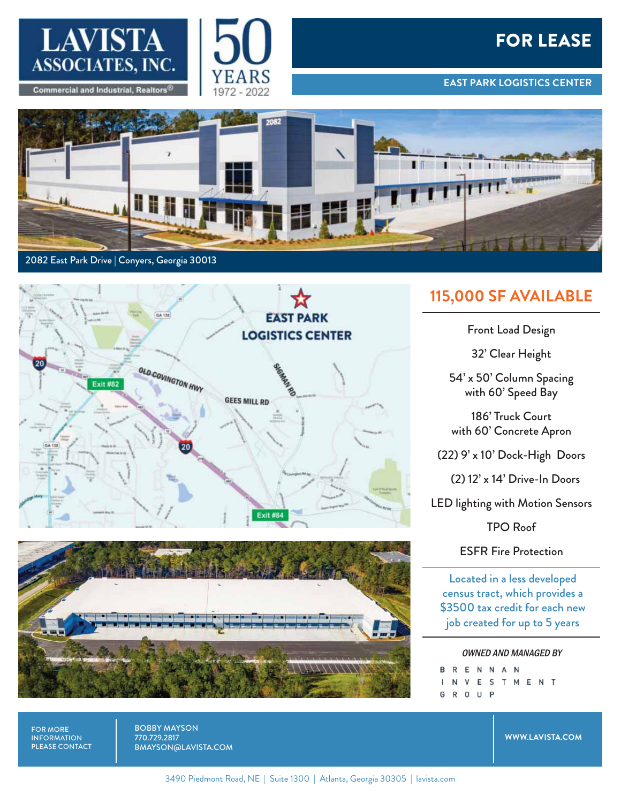

**Commercial and Industrial, Realtors** 



## FOR LEASE

**EAST PARK LOGISTICS CENTER**







## **115,000 SF AVAILABLE**

Front Load Design

32' Clear Height

54' x 50' Column Spacing with 60' Speed Bay

186' Truck Court with 60' Concrete Apron

(22) 9' x 10' Dock-High Doors

(2) 12' x 14' Drive-In Doors

LED lighting with Motion Sensors

TPO Roof

ESFR Fire Protection

Located in a less developed census tract, which provides a \$3500 tax credit for each new job created for up to 5 years

OWNED AND MANAGED BY**BRENNAN** ESTMENT ٧

G

R O U P

FOR MORE INFORMATION PLEASE CONTACT BOBBY MAYSON 770.729.2817 BMAYSON@LAVISTA.COM

**WWW.LAVISTA.COM**